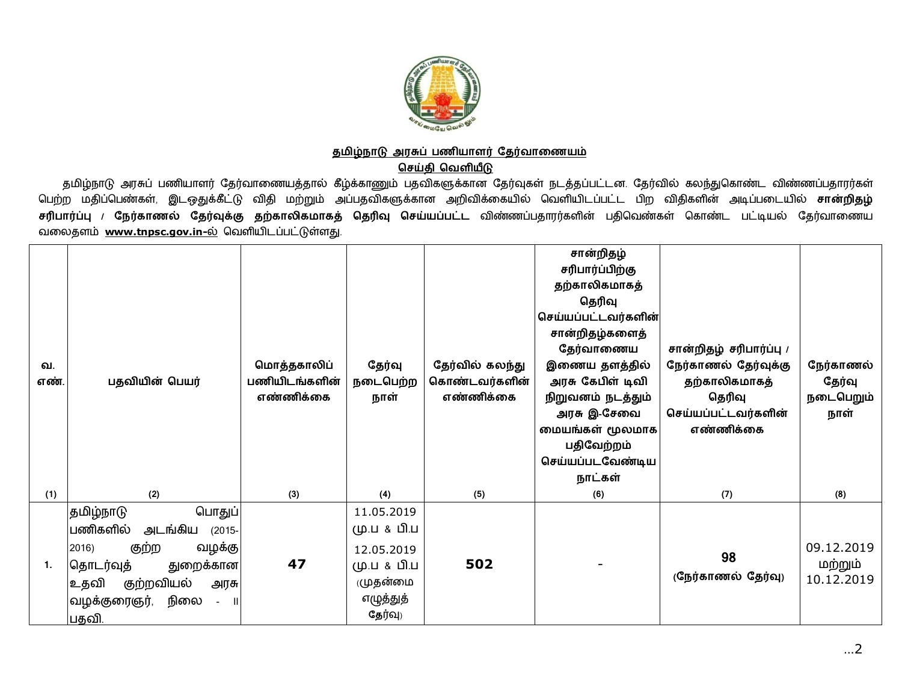

## <u>தமிழ்நாடு அரசுப் பணியாளர் தேர்வாணையம்</u>

**செய்தி வெளியீடு** 

தமிழ்நாடு அரசுப் பணியாளர் தேர்வாணையத்தால் கீழ்க்காணும் பதவிகளுக்கான தேர்வுகள் நடத்தப்பட்டன. தேர்வில் கலந்துகொண்ட விண்ணப்பதாரர்கள் பெற்ற மதிப்பெண்கள், இடஒதுக்கீட்டு விதி மற்றும் அப்பதவிகளுக்கான அறிவிக்கையில் வெளியிடப்பட்ட பிற விதிகளின் அடிப்படையில் **சான்றிதழ்** <mark>சரிபார்ப்பு / நேர்காணல் தேர்வுக்கு தற்காலிகமாகத் தெரிவு செய்யப்பட்ட விண்ணப்பதாரர்களின் பதிவெண்கள் கொண்ட பட்டியல் தேர்வாணைய</mark> வலைதளம் [www.tnpsc.gov.in-](http://www.tnpsc.gov.in-)ல் வெளியிடப்பட்டுள்ளது.

| வ.<br>எண் | பதவியின் பெயர்                                                                                                                                                                                           | மொத்தகாலிப்<br>பணியிடங்களின்<br>எண்ணிக்கை | தேர்வில் கலந்து<br>தேர்வு<br>நடைபெற்ற<br>கொண்டவர்களின்<br>எண்ணிக்கை<br>நாள்               |     | சான்றிதழ்<br>சரிபார்ப்பிற்கு<br>தற்காலிகமாகத்<br>தெரிவு<br>செய்யப்பட்டவர்களின்<br>சான்றிதழ்களைத்<br>தேர்வாணைய<br>இணைய தளத்தில்<br>அரசு கேபிள் டிவி<br>நிறுவனம் நடத்தும்<br>அரசு இ-சேவை<br>மையங்கள் மூலமாக<br>பதிவேற்றம்<br>செய்யப்படவேண்டிய<br>நாட்கள் | சான்றிதழ் சரிபார்ப்பு /<br>நேர்காணல் தேர்வுக்கு<br>தற்காலிகமாகத்<br>தெரிவு<br>செய்யப்பட்டவர்களின்<br>எண்ணிக்கை | நேர்காணல்<br>தேர்வு<br>நடைபெறும்<br>நாள் |
|-----------|----------------------------------------------------------------------------------------------------------------------------------------------------------------------------------------------------------|-------------------------------------------|-------------------------------------------------------------------------------------------|-----|--------------------------------------------------------------------------------------------------------------------------------------------------------------------------------------------------------------------------------------------------------|----------------------------------------------------------------------------------------------------------------|------------------------------------------|
| (1)       | (2)                                                                                                                                                                                                      | (3)                                       | (4)                                                                                       | (5) | (6)                                                                                                                                                                                                                                                    | (7)                                                                                                            | (8)                                      |
| 1.        | தமிழ்நாடு<br>பொதுப்<br> பணிகளி <b>ல்</b><br>அடங்கிய<br>$(2015 -$<br>குற்ற<br>வழக்கு<br>2016)<br>தொடர்வுத்<br>துறைக்கான<br>குற்றவியல்<br> உதவி<br>அரசு<br>நிலை<br> வழக்குரைஞர்,<br>$\mathbf{I}$<br> பதவி. | 47                                        | 11.05.2019<br>மு.ப & பி.ப<br>12.05.2019<br>மு.ப & பி.ப<br>முதன்மை<br>எழுத்துத்<br>தேர்வு) | 502 |                                                                                                                                                                                                                                                        | 98<br>(நேர்காணல் தேர்வு)                                                                                       | 09.12.2019<br>மற்றும்<br>10.12.2019      |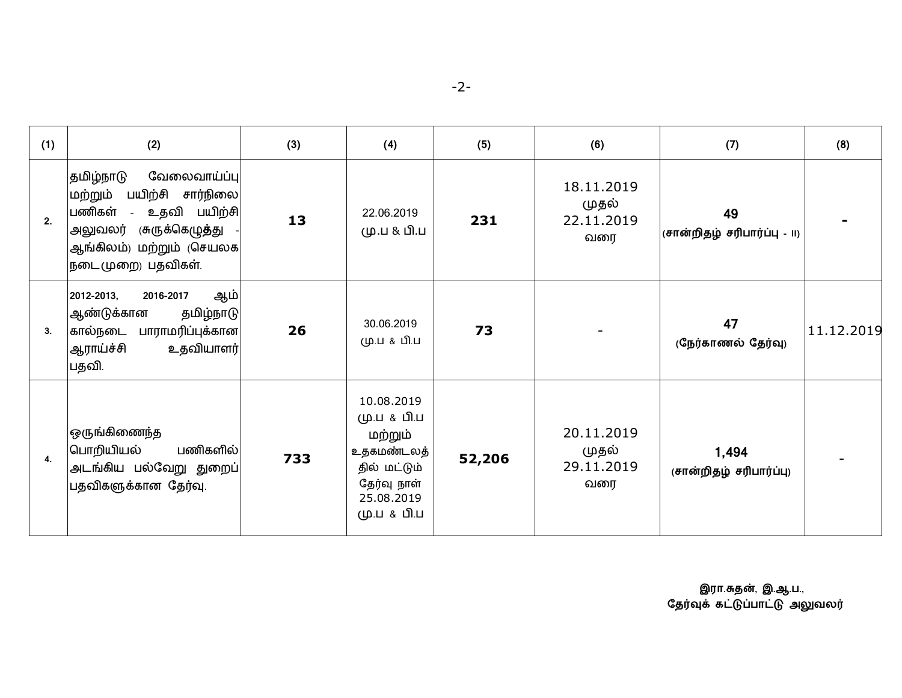|--|

| (1) | (2)                                                                                                                                                                 | (3) | (4)                                                                                                            | (5)    | (6)                                      | (7)                               | (8)        |
|-----|---------------------------------------------------------------------------------------------------------------------------------------------------------------------|-----|----------------------------------------------------------------------------------------------------------------|--------|------------------------------------------|-----------------------------------|------------|
| 2.  | தமிழ்நாடு<br>வேலைவாய்ப்பு<br>பயிற்சி<br>சார்நிலை<br>மற்றும்<br>பணிகள்<br>- உதவி பயிற்சி<br>அலுவலர் (சுருக்கெழுத்து<br>ஆங்கிலம்) மற்றும் (செயலக<br>நடைமுறை) பதவிகள். | 13  | 22.06.2019<br>மு.ப & பி.ப                                                                                      | 231    | 18.11.2019<br>முதல்<br>22.11.2019<br>வரை | 49<br>(சான்றிதழ் சரிபார்ப்பு - ။) |            |
| 3.  | ஆம்<br>2012-2013,<br>2016-2017<br>ஆண்டுக்கான<br>தமிழ்நாடு<br>பாராமரிப்புக்கான <br>கால்நடை<br>ஆராய்ச்சி<br>உதவியாளர் <br>பதவி.                                       | 26  | 30.06.2019<br>மு.ப & பி.ப                                                                                      | 73     |                                          | 47<br>(நேர்காணல் தேர்வு)          | 11.12.2019 |
| 4.  | ஒருங்கிணைந்த<br>பொறியியல்<br>பணிகளில்<br>அடங்கிய பல்வேறு துறைப்<br>பதவிகளுக்கான தேர்வு.                                                                             | 733 | 10.08.2019<br>மு.ப & பி.ப<br>மற்றும்<br>உதகமண்டலத்<br>தில் மட்டும்<br>தேர்வு நாள்<br>25.08.2019<br>மு.ப & பி.ப | 52,206 | 20.11.2019<br>முதல்<br>29.11.2019<br>வரை | 1,494<br>(சான்றிதழ் சரிபார்ப்பு)  |            |

 **இரா.த}, இ.ஆ.ப.,** தேர்வுக் கட்டுப்பாட்டு அலுவலர்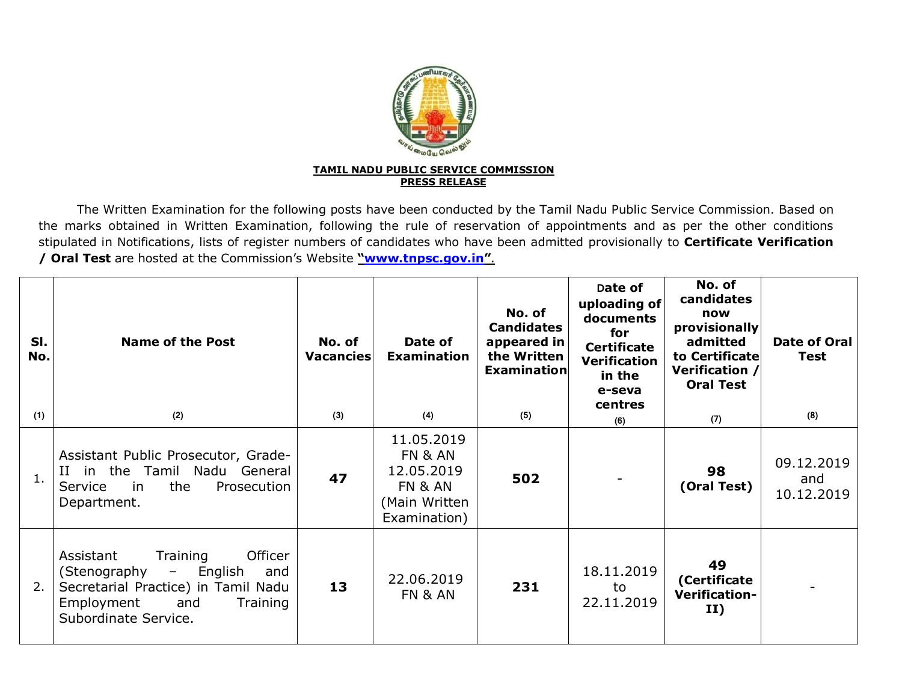

The Written Examination for the following posts have been conducted by the Tamil Nadu Public Service Commission. Based on the marks obtained in Written Examination, following the rule of reservation of appointments and as per the other conditions stipulated in Notifications, lists of register numbers of candidates who have been admitted provisionally to **Certificate Verification / Oral Test** are hosted at the Commission's Website **["www.tnpsc.gov.in](http://www.tnpsc.gov.in)"**.

| SI.<br>No. | <b>Name of the Post</b>                                                                                                                                                     | No. of<br>Vacancies | Date of<br><b>Examination</b>                                                   | No. of<br><b>Candidates</b><br>appeared in<br>the Written<br><b>Examination</b> | Date of<br>uploading of<br>documents<br>for<br><b>Certificate</b><br><b>Verification</b><br>in the<br>e-seva<br>centres | No. of<br>candidates<br>now<br>provisionally<br>admitted<br>to Certificate<br>Verification /<br><b>Oral Test</b> | Date of Oral<br><b>Test</b>     |
|------------|-----------------------------------------------------------------------------------------------------------------------------------------------------------------------------|---------------------|---------------------------------------------------------------------------------|---------------------------------------------------------------------------------|-------------------------------------------------------------------------------------------------------------------------|------------------------------------------------------------------------------------------------------------------|---------------------------------|
| (1)        | (2)                                                                                                                                                                         | (3)                 | (4)                                                                             | (5)                                                                             | (6)                                                                                                                     | (7)                                                                                                              | (8)                             |
| 1.         | Assistant Public Prosecutor, Grade-<br>II in the Tamil Nadu General<br>the<br>Prosecution<br>Service<br>in.<br>Department.                                                  | 47                  | 11.05.2019<br>FN & AN<br>12.05.2019<br>FN & AN<br>(Main Written<br>Examination) | 502                                                                             |                                                                                                                         | 98<br>(Oral Test)                                                                                                | 09.12.2019<br>and<br>10.12.2019 |
| 2.         | Officer<br>Assistant<br>Training<br>English<br>(Stenography<br>$ \,$<br>and<br>Secretarial Practice) in Tamil Nadu<br>Employment<br>and<br>Training<br>Subordinate Service. | 13                  | 22.06.2019<br>FN & AN                                                           | 231                                                                             | 18.11.2019<br>to<br>22.11.2019                                                                                          | 49<br>(Certificate<br>Verification-<br>II)                                                                       |                                 |